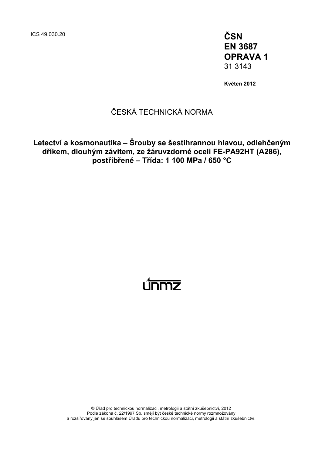ICS 49.030.20 **ČSN** 

**EN 3687 OPRAVA 1**  31 3143

**Květen 2012** 

# ČESKÁ TECHNICKÁ NORMA

**Letectví a kosmonautika – Šrouby se šestihrannou hlavou, odlehčeným dříkem, dlouhým závitem, ze žáruvzdorné oceli FE-PA92HT (A286), postříbřené – Třída: 1 100 MPa / 650 °C** 

# ummz

© Úřad pro technickou normalizaci, metrologii a státní zkušebnictví, 2012 Podle zákona č. 22/1997 Sb. smějí být české technické normy rozmnožovány a rozšiřovány jen se souhlasem Úřadu pro technickou normalizaci, metrologii a státní zkušebnictví.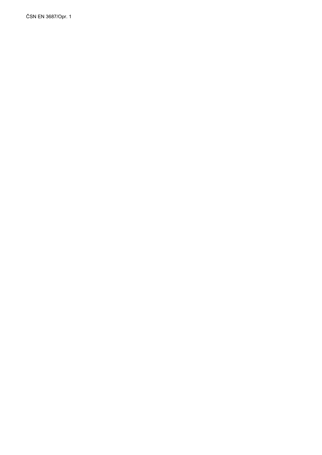ČSN EN 3687/Opr. 1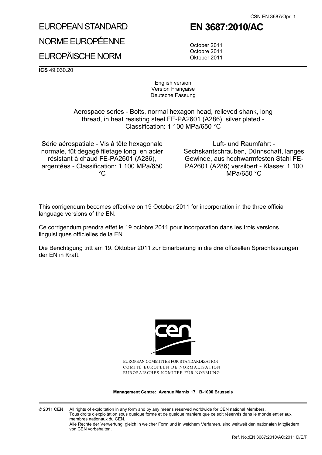ČSN EN 3687/Opr. 1

# EUROPEAN STANDARD

# **EN 3687:2010/AC**

NORME EUROPÉENNE

# EUROPÄISCHE NORM

 October 2011 Octobre 2011 Oktober 2011

**ICS** 49.030.20

English version Version Française Deutsche Fassung

 Aerospace series - Bolts, normal hexagon head, relieved shank, long thread, in heat resisting steel FE-PA2601 (A286), silver plated - Classification: 1 100 MPa/650 °C

Série aérospatiale - Vis à tête hexagonale normale, fût dégagé filetage long, en acier résistant à chaud FE-PA2601 (A286), argentées - Classification: 1 100 MPa/650  $^{\circ}C$ 

Luft- und Raumfahrt - Sechskantschrauben, Dünnschaft, langes Gewinde, aus hochwarmfesten Stahl FE-PA2601 (A286) versilbert - Klasse: 1 100 MPa/650 °C

This corrigendum becomes effective on 19 October 2011 for incorporation in the three official language versions of the EN.

Ce corrigendum prendra effet le 19 octobre 2011 pour incorporation dans les trois versions linguistiques officielles de la EN.

Die Berichtigung tritt am 19. Oktober 2011 zur Einarbeitung in die drei offiziellen Sprachfassungen der EN in Kraft.



EUROPEAN COMMITTEE FOR STANDARDIZATION COMITÉ EUROPÉEN DE NORMALISATION EUROPÄISCHES KOMITEE FÜR NORMUNG

**Management Centre: Avenue Marnix 17, B-1000 Brussels** 

© 2011 CEN All rights of exploitation in any form and by any means reserved worldwide for CEN national Members. Tous droits d'exploitation sous quelque forme et de quelque manière que ce soit réservés dans le monde entier aux membres nationaux du CEN.

Alle Rechte der Verwertung, gleich in welcher Form und in welchem Verfahren, sind weltweit den nationalen Mitgliedern von CEN vorbehalten.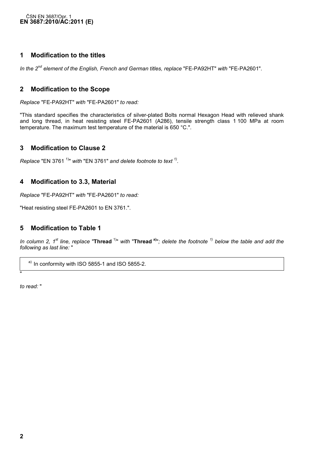## **1 Modification to the titles**

*In the 2nd element of the English, French and German titles, replace* "FE-PA92HT" *with* "FE-PA2601".

## **2 Modification to the Scope**

*Replace* "FE-PA92HT" *with* "FE-PA2601" *to read:*

"This standard specifies the characteristics of silver-plated Bolts normal Hexagon Head with relieved shank and long thread, in heat resisting steel FE-PA2601 (A286), tensile strength class 1 100 MPa at room temperature. The maximum test temperature of the material is 650 °C.".

## **3 Modification to Clause 2**

*Replace* "EN 3761<sup>1)</sup>" *with* "EN 3761" *and delete footnote to text*<sup>1)</sup>.

#### **4 Modification to 3.3, Material**

*Replace* "FE-PA92HT" *with* "FE-PA2601" *to read:*

"Heat resisting steel FE-PA2601 to EN 3761.".

## **5 Modification to Table 1**

*In column 2, 1st line, replace* "**Thread** 1)" *with* "**Thread a)**"*; delete the footnote 1) below the table and add the following as last line:* "

```
a) In conformity with ISO 5855-1 and ISO 5855-2.
```
*to read:* "

"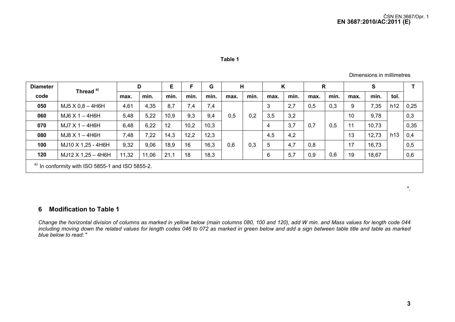#### **Table 1**

Dimensions in millimetres

| <b>Diameter</b> | Thread <sup>a)</sup>                               |       | D     |      |      | G    | H    |      | K    |      | R    |      |      |       |      |      |
|-----------------|----------------------------------------------------|-------|-------|------|------|------|------|------|------|------|------|------|------|-------|------|------|
| code            |                                                    | max.  | min.  | min. | min. | min. | max. | min. | max. | min. | max. | min. | max. | min.  | tol. |      |
| 050             | $MJ5X0,8 - 4H6H$                                   | 4,61  | 4,35  | 8,7  | 7,4  | 7,4  |      |      | 3    | 2,7  | 0,5  | 0,3  | 9    | 7,35  | h12  | 0,25 |
| 060             | MJ6 $X$ 1 – 4H6H                                   | 5,48  | 5,22  | 10,9 | 9,3  | 9,4  | 0.5  | 0,2  | 3,5  | 3,2  | 0,7  |      | 10   | 9,78  |      | 0,3  |
| 070             | $MJ7X1-4H6H$                                       | 6,48  | 6,22  | 12   | 10.2 | 10,3 |      |      | 4    | 3,7  |      | 0,5  | 11   | 10,73 |      | 0,35 |
| 080             | MJ8 $X$ 1 – 4H6H                                   | 7,48  | 7,22  | 14,3 | 12.2 | 12,3 |      |      | 4,5  | 4,2  |      |      | 13   | 12,73 | h13  | 0,4  |
| 100             | MJ10 X 1,25 - 4H6H                                 | 9,32  | 9,06  | 18,9 | 16   | 16,3 | 0,6  | 0,3  | 5    | 4,7  | 0,8  |      | 17   | 16,73 |      | 0,5  |
| 120             | MJ12 X 1,25 - 4H6H                                 | 11,32 | 11,06 | 21,1 | 18   | 18,3 |      |      | 6    | 5,7  | 0,9  | 0,6  | 19   | 18,67 |      | 0,6  |
|                 | $a)$ In conformity with ISO 5855-1 and ISO 5855-2. |       |       |      |      |      |      |      |      |      |      |      |      |       |      |      |

## **6 Modification to Table 1**

*Change the horizontal division of columns as marked in yellow below (main columns 080, 100 and 120), add W min. and Mass values for length code 044 including moving down the related values for length codes 046 to 072 as marked in green below and add a sign between table title and table as marked blue below to read:* "

".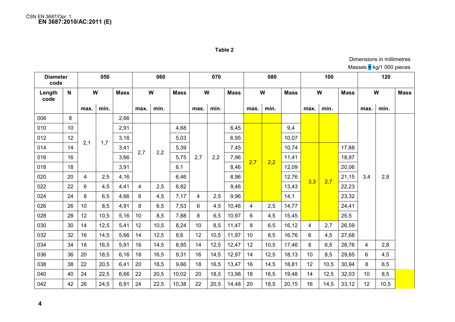#### **Table 2**

Dimensions in millimetres Masses ≈ kg/1 000 pieces

| <b>Diameter</b><br>code |                 | 050              |      |      | 060  |      |             |                | 070  |             |      | 080  |             |                 | 100  |             | 120  |      |             |
|-------------------------|-----------------|------------------|------|------|------|------|-------------|----------------|------|-------------|------|------|-------------|-----------------|------|-------------|------|------|-------------|
| Length<br>code          | N               | W<br><b>Mass</b> |      |      | W    |      | <b>Mass</b> | W              |      | <b>Mass</b> | W    |      | <b>Mass</b> | W               |      | <b>Mass</b> | W    |      | <b>Mass</b> |
|                         |                 | max.             | min. |      | max. | min. |             | max.           | min. |             | max. | min. |             | max.            | min. |             | max. | min. |             |
| 008                     | 8               |                  |      | 2,66 |      |      |             |                |      |             |      |      |             |                 |      |             |      |      |             |
| 010                     | 10 <sup>°</sup> |                  |      | 2,91 |      |      | 4,68        |                |      | 6,45        |      |      | 9,4         |                 |      |             |      |      |             |
| 012                     | 12              | 2,1              | 1,7  | 3,16 |      |      | 5,03        |                |      | 6,95        |      |      | 10,07       |                 |      |             |      |      |             |
| 014                     | 14              |                  |      | 3,41 |      | 2,2  | 5,39        |                |      | 7,45        |      |      | 10,74       |                 |      | 17,88       |      |      |             |
| 016                     | 16              |                  |      | 3,66 | 2,7  |      | 5,75        | 2,7            | 2,2  | 7,96        | 2,7  | 2,2  | 11,41       |                 |      | 18,97       |      |      |             |
| 018                     | 18              |                  |      | 3,91 |      |      | 6,1         |                |      | 8,46        |      |      | 12,09       |                 |      | 20,06       |      | 2,8  |             |
| 020                     | 20              | 4                | 2,5  | 4,16 |      |      | 6,46        |                |      | 8,96        |      |      | 12,76       | 3,3             | 2,7  | 21,15       | 3,4  |      |             |
| 022                     | 22              | 6                | 4,5  | 4,41 | 4    | 2,5  | 6,82        |                |      | 9,46        |      |      | 13,43       |                 |      | 22,23       |      |      |             |
| 024                     | 24              | 8                | 6,5  | 4,66 | 6    | 4,5  | 7,17        | $\overline{4}$ | 2,5  | 9,96        |      |      | 14,1        |                 |      | 23,32       |      |      |             |
| 026                     | 26              | 10               | 8,5  | 4,91 | 8    | 6,5  | 7,53        | 6              | 4,5  | 10,46       | 4    | 2,5  | 14,77       |                 |      | 24,41       |      |      |             |
| 028                     | 28              | 12               | 10,5 | 5,16 | 10   | 8,5  | 7,88        | 8              | 6,5  | 10,97       | 6    | 4,5  | 15,45       |                 |      | 25,5        |      |      |             |
| 030                     | 30              | 14               | 12,5 | 5,41 | 12   | 10,5 | 8,24        | 10             | 8,5  | 11,47       | 8    | 6,5  | 16,12       | 4               | 2,7  | 26,59       |      |      |             |
| 032                     | 32              | 16               | 14,5 | 5,66 | 14   | 12,5 | 8,6         | 12             | 10,5 | 11,97       | 10   | 8,5  | 16,76       | 6               | 4,5  | 27,68       |      |      |             |
| 034                     | 34              | 18               | 16,5 | 5,91 | 16   | 14,5 | 8,95        | 14             | 12,5 | 12,47       | 12   | 10,5 | 17,46       | 8               | 6,5  | 28,76       | 4    | 2,8  |             |
| 036                     | 36              | 20               | 18,5 | 6,16 | 18   | 16,5 | 9,31        | 16             | 14,5 | 12,97       | 14   | 12,5 | 18,13       | 10 <sup>1</sup> | 8,5  | 29,85       | 6    | 4,5  |             |
| 038                     | 38              | 22               | 20,5 | 6,41 | 20   | 18,5 | 9,66        | 18             | 16,5 | 13,47       | 16   | 14,5 | 18,81       | 12              | 10,5 | 30,94       | 8    | 6,5  |             |
| 040                     | 40              | 24               | 22,5 | 6,66 | 22   | 20,5 | 10,02       | 20             | 18,5 | 13,98       | 18   | 16,5 | 19,48       | 14              | 12,5 | 32,03       | 10   | 8,5  |             |
| 042                     | 42              | 26               | 24,5 | 6,91 | 24   | 22,5 | 10,38       | 22             | 20,5 | 14,48       | 20   | 18,5 | 20,15       | 16              | 14,5 | 33,12       | 12   | 10,5 |             |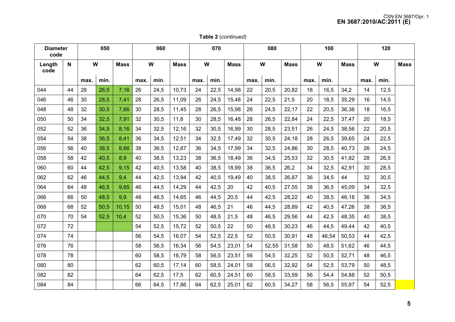**Table 2** (*continued*)

| <b>Diameter</b><br>code |    | 050  |      |             | 060  |      |             | 070  |      |             | 080  |       |             |      | 100   |             |      |      |             |
|-------------------------|----|------|------|-------------|------|------|-------------|------|------|-------------|------|-------|-------------|------|-------|-------------|------|------|-------------|
| Length<br>code          | N  | W    |      | <b>Mass</b> | W    |      | <b>Mass</b> | W    |      | <b>Mass</b> | W    |       | <b>Mass</b> |      | W     | <b>Mass</b> | W    |      | <b>Mass</b> |
|                         |    | max. | min. |             | max. | min. |             | max. | min. |             | max. | min.  |             | max. | min.  |             | max. | min. |             |
| 044                     | 44 | 28   | 26,5 | 7,16        | 26   | 24,5 | 10,73       | 24   | 22,5 | 14,98       | 22   | 20,5  | 20,82       | 18   | 16,5  | 34,2        | 14   | 12,5 |             |
| 046                     | 46 | 30   | 28,5 | 7,41        | 28   | 26,5 | 11,09       | 26   | 24,5 | 15,48       | 24   | 22,5  | 21,5        | 20   | 18,5  | 35,29       | 16   | 14,5 |             |
| 048                     | 48 | 32   | 30,5 | 7,66        | 30   | 28,5 | 11,45       | 28   | 26,5 | 15,98       | 26   | 24,5  | 22,17       | 22   | 20,5  | 36,38       | 18   | 16,5 |             |
| 050                     | 50 | 34   | 32,5 | 7,91        | 32   | 30,5 | 11,8        | 30   | 28,5 | 16,48       | 28   | 26,5  | 22,84       | 24   | 22,5  | 37,47       | 20   | 18,5 |             |
| 052                     | 52 | 36   | 34,5 | 8.16        | 34   | 32,5 | 12,16       | 32   | 30,5 | 16,99       | 30   | 28,5  | 23,51       | 26   | 24,5  | 38,56       | 22   | 20,5 |             |
| 054                     | 54 | 38   | 36,5 | 8,41        | 36   | 34,5 | 12,51       | 34   | 32,5 | 17,49       | 32   | 30,5  | 24,18       | 28   | 26,5  | 39,65       | 24   | 22,5 |             |
| 056                     | 56 | 40   | 38,5 | 8,66        | 38   | 36,5 | 12,87       | 36   | 34,5 | 17,99       | 34   | 32,5  | 24,86       | 30   | 28,5  | 40,73       | 26   | 24,5 |             |
| 058                     | 58 | 42   | 40,5 | 8,9         | 40   | 38,5 | 13,23       | 38   | 36,5 | 18,49       | 36   | 34,5  | 25,53       | 32   | 30,5  | 41,82       | 28   | 26,5 |             |
| 060                     | 60 | 44   | 42,5 | 9,15        | 42   | 40,5 | 13,58       | 40   | 38,5 | 18,99       | 38   | 36,5  | 26,2        | 34   | 32,5  | 42,91       | 30   | 28,5 |             |
| 062                     | 62 | 46   | 44,5 | 9,4         | 44   | 42,5 | 13,94       | 42   | 40,5 | 19,49       | 40   | 38,5  | 26,87       | 36   | 34,5  | 44          | 32   | 30,5 |             |
| 064                     | 64 | 48   | 46,5 | 9,65        | 46   | 44,5 | 14,29       | 44   | 42,5 | 20          | 42   | 40,5  | 27,55       | 38   | 36,5  | 45,09       | 34   | 32,5 |             |
| 066                     | 66 | 50   | 48,5 | 9,9         | 48   | 46,5 | 14,65       | 46   | 44,5 | 20,5        | 44   | 42,5  | 28,22       | 40   | 38,5  | 46,18       | 36   | 34,5 |             |
| 068                     | 68 | 52   | 50,5 | 10,15       | 50   | 48,5 | 15,01       | 48   | 46,5 | 21          | 46   | 44,5  | 28,89       | 42   | 40,5  | 47,26       | 38   | 36,5 |             |
| 070                     | 70 | 54   | 52,5 | 10,4        | 52   | 50,5 | 15,36       | 50   | 48,5 | 21,5        | 48   | 46,5  | 29,56       | 44   | 42,5  | 48,35       | 40   | 38,5 |             |
| 072                     | 72 |      |      |             | 54   | 52,5 | 15,72       | 52   | 50,5 | 22          | 50   | 48,5  | 30,23       | 46   | 44,5  | 49,44       | 42   | 40,5 |             |
| 074                     | 74 |      |      |             | 56   | 54,5 | 16,07       | 54   | 52,5 | 22,5        | 52   | 50,5  | 30,91       | 48   | 46,54 | 50,53       | 44   | 42,5 |             |
| 076                     | 76 |      |      |             | 58   | 56,5 | 16,34       | 56   | 54,5 | 23,01       | 54   | 52,55 | 31,58       | 50   | 48,5  | 51,62       | 46   | 44,5 |             |
| 078                     | 78 |      |      |             | 60   | 58,5 | 16,79       | 58   | 56,5 | 23,51       | 56   | 54,5  | 32,25       | 52   | 50,5  | 52,71       | 48   | 46,5 |             |
| 080                     | 80 |      |      |             | 62   | 60,5 | 17,14       | 60   | 58,5 | 24,01       | 58   | 56,5  | 32,92       | 54   | 52,5  | 53,79       | 50   | 48,5 |             |
| 082                     | 82 |      |      |             | 64   | 62,5 | 17,5        | 62   | 60,5 | 24,51       | 60   | 58,5  | 33,59       | 56   | 54,4  | 54,88       | 52   | 50,5 |             |
| 084                     | 84 |      |      |             | 66   | 64,5 | 17,86       | 64   | 62,5 | 25,01       | 62   | 60,5  | 34,27       | 58   | 56,5  | 55,97       | 54   | 52,5 |             |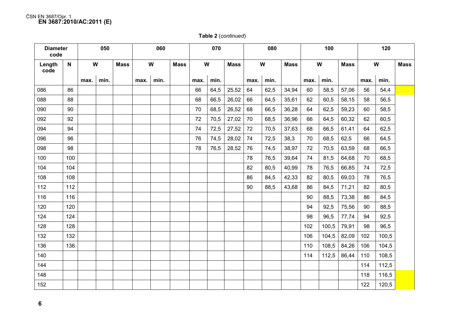#### **EN 3687:2010/AC:2011 (E)**  ČSN EN 3687/Opr. 1

#### **Table 2** (*continued*)

| <b>Diameter</b><br>code |     | 050              |      | 060 |      |             | 070 |      |             | 080   |      |             |       | 100  |             |       |      |             |  |
|-------------------------|-----|------------------|------|-----|------|-------------|-----|------|-------------|-------|------|-------------|-------|------|-------------|-------|------|-------------|--|
| Length<br>code          | N   | W<br><b>Mass</b> |      | W   |      | <b>Mass</b> | W   |      | <b>Mass</b> | W     |      | <b>Mass</b> | W     |      | <b>Mass</b> | W     |      | <b>Mass</b> |  |
|                         |     | max.             | min. |     | max. | min.        |     | max. | min.        |       | max. | min.        |       | max. | min.        |       | max. | min.        |  |
| 086                     | 86  |                  |      |     |      |             |     | 66   | 64,5        | 25,52 | 64   | 62,5        | 34,94 | 60   | 58,5        | 57,06 | 56   | 54,4        |  |
| 088                     | 88  |                  |      |     |      |             |     | 68   | 66,5        | 26,02 | 66   | 64,5        | 35,61 | 62   | 60,5        | 58,15 | 58   | 56,5        |  |
| 090                     | 90  |                  |      |     |      |             |     | 70   | 68,5        | 26,52 | 68   | 66,5        | 36,28 | 64   | 62,5        | 59,23 | 60   | 58,5        |  |
| 092                     | 92  |                  |      |     |      |             |     | 72   | 70,5        | 27,02 | 70   | 68,5        | 36,96 | 66   | 64,5        | 60,32 | 62   | 60,5        |  |
| 094                     | 94  |                  |      |     |      |             |     | 74   | 72,5        | 27,52 | 72   | 70,5        | 37,63 | 68   | 66,5        | 61,41 | 64   | 62,5        |  |
| 096                     | 96  |                  |      |     |      |             |     | 76   | 74,5        | 28,02 | 74   | 72,5        | 38,3  | 70   | 68,5        | 62,5  | 66   | 64,5        |  |
| 098                     | 98  |                  |      |     |      |             |     | 78   | 76,5        | 28,52 | 76   | 74,5        | 38,97 | 72   | 70,5        | 63,59 | 68   | 66,5        |  |
| 100                     | 100 |                  |      |     |      |             |     |      |             |       | 78   | 76,5        | 39,64 | 74   | 81,5        | 64,68 | 70   | 68,5        |  |
| 104                     | 104 |                  |      |     |      |             |     |      |             |       | 82   | 80,5        | 40,99 | 78   | 76,5        | 66,85 | 74   | 72,5        |  |
| 108                     | 108 |                  |      |     |      |             |     |      |             |       | 86   | 84,5        | 42,33 | 82   | 80,5        | 69,03 | 78   | 76,5        |  |
| 112                     | 112 |                  |      |     |      |             |     |      |             |       | 90   | 88,5        | 43,68 | 86   | 84,5        | 71,21 | 82   | 80,5        |  |
| 116                     | 116 |                  |      |     |      |             |     |      |             |       |      |             |       | 90   | 88,5        | 73,38 | 86   | 84,5        |  |
| 120                     | 120 |                  |      |     |      |             |     |      |             |       |      |             |       | 94   | 92,5        | 75,56 | 90   | 88,5        |  |
| 124                     | 124 |                  |      |     |      |             |     |      |             |       |      |             |       | 98   | 96,5        | 77,74 | 94   | 92,5        |  |
| 128                     | 128 |                  |      |     |      |             |     |      |             |       |      |             |       | 102  | 100,5       | 79,91 | 98   | 96,5        |  |
| 132                     | 132 |                  |      |     |      |             |     |      |             |       |      |             |       | 106  | 104,5       | 82,09 | 102  | 100,5       |  |
| 136                     | 136 |                  |      |     |      |             |     |      |             |       |      |             |       | 110  | 108,5       | 84,26 | 106  | 104,5       |  |
| 140                     |     |                  |      |     |      |             |     |      |             |       |      |             |       | 114  | 112,5       | 86,44 | 110  | 108,5       |  |
| 144                     |     |                  |      |     |      |             |     |      |             |       |      |             |       |      |             |       | 114  | 112,5       |  |
| 148                     |     |                  |      |     |      |             |     |      |             |       |      |             |       |      |             |       | 118  | 116,5       |  |
| 152                     |     |                  |      |     |      |             |     |      |             |       |      |             |       |      |             |       | 122  | 120,5       |  |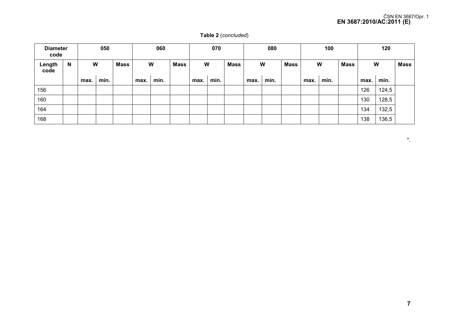#### **EN 3687:2010/AC:2011 (E)**  ČSN EN 3687/Opr. 1

**Table 2** (*concluded*)

| <b>Diameter</b><br>code |              | 050  |      | 060         |      |      | 070         |      |      |             | 080  |      |             | 100  |      | 120         |      |       |             |
|-------------------------|--------------|------|------|-------------|------|------|-------------|------|------|-------------|------|------|-------------|------|------|-------------|------|-------|-------------|
| Length<br>code          | $\mathsf{N}$ | W    |      | <b>Mass</b> | W    |      | <b>Mass</b> | W    |      | <b>Mass</b> | W    |      | <b>Mass</b> | W    |      | <b>Mass</b> | W    |       | <b>Mass</b> |
|                         |              | max. | min. |             | max. | min. |             | max. | min. |             | max. | min. |             | max. | min. |             | max. | min.  |             |
| 156                     |              |      |      |             |      |      |             |      |      |             |      |      |             |      |      |             | 126  | 124,5 |             |
| 160                     |              |      |      |             |      |      |             |      |      |             |      |      |             |      |      |             | 130  | 128,5 |             |
| 164                     |              |      |      |             |      |      |             |      |      |             |      |      |             |      |      |             | 134  | 132,5 |             |
| 168                     |              |      |      |             |      |      |             |      |      |             |      |      |             |      |      |             | 138  | 136,5 |             |

".